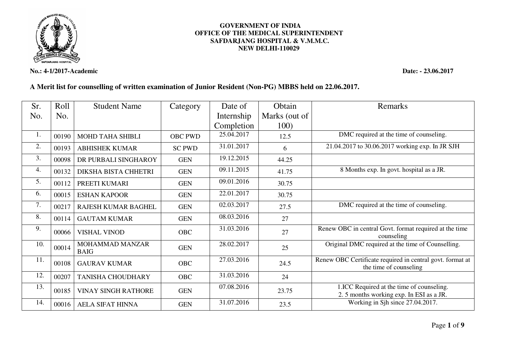

**No.: 4-1/2017-Academic Date: - 23.06.2017** 

## **GOVERNMENT OF INDIA OFFICE OF THE MEDICAL SUPERINTENDENT SAFDARJANG HOSPITAL & V.M.M.C. NEW DELHI-110029**

## **A Merit list for counselling of written examination of Junior Resident (Non-PG) MBBS held on 22.06.2017.**

| Sr. | Roll  | <b>Student Name</b>            | Category       | Date of    | Obtain        | Remarks                                                                              |
|-----|-------|--------------------------------|----------------|------------|---------------|--------------------------------------------------------------------------------------|
| No. | No.   |                                |                | Internship | Marks (out of |                                                                                      |
|     |       |                                |                | Completion | 100)          |                                                                                      |
| 1.  | 00190 | MOHD TAHA SHIBLI               | <b>OBC PWD</b> | 25.04.2017 | 12.5          | DMC required at the time of counseling.                                              |
| 2.  | 00193 | <b>ABHISHEK KUMAR</b>          | <b>SC PWD</b>  | 31.01.2017 | 6             | 21.04.2017 to 30.06.2017 working exp. In JR SJH                                      |
| 3.  | 00098 | DR PURBALI SINGHAROY           | <b>GEN</b>     | 19.12.2015 | 44.25         |                                                                                      |
| 4.  | 00132 | DIKSHA BISTA CHHETRI           | <b>GEN</b>     | 09.11.2015 | 41.75         | 8 Months exp. In govt. hospital as a JR.                                             |
| 5.  | 00112 | PREETI KUMARI                  | <b>GEN</b>     | 09.01.2016 | 30.75         |                                                                                      |
| 6.  | 00015 | <b>ESHAN KAPOOR</b>            | <b>GEN</b>     | 22.01.2017 | 30.75         |                                                                                      |
| 7.  | 00217 | <b>RAJESH KUMAR BAGHEL</b>     | <b>GEN</b>     | 02.03.2017 | 27.5          | DMC required at the time of counseling.                                              |
| 8.  | 00114 | <b>GAUTAM KUMAR</b>            | <b>GEN</b>     | 08.03.2016 | 27            |                                                                                      |
| 9.  | 00066 | <b>VISHAL VINOD</b>            | <b>OBC</b>     | 31.03.2016 | 27            | Renew OBC in central Govt. format required at the time<br>counseling                 |
| 10. | 00014 | MOHAMMAD MANZAR<br><b>BAIG</b> | <b>GEN</b>     | 28.02.2017 | 25            | Original DMC required at the time of Counselling.                                    |
| 11. | 00108 | <b>GAURAV KUMAR</b>            | <b>OBC</b>     | 27.03.2016 | 24.5          | Renew OBC Certificate required in central govt. format at<br>the time of counseling  |
| 12. | 00207 | <b>TANISHA CHOUDHARY</b>       | <b>OBC</b>     | 31.03.2016 | 24            |                                                                                      |
| 13. | 00185 | <b>VINAY SINGH RATHORE</b>     | <b>GEN</b>     | 07.08.2016 | 23.75         | 1.ICC Required at the time of counseling.<br>2.5 months working exp. In ESI as a JR. |
| 14. | 00016 | <b>AELA SIFAT HINNA</b>        | <b>GEN</b>     | 31.07.2016 | 23.5          | Working in Sjh since 27.04.2017.                                                     |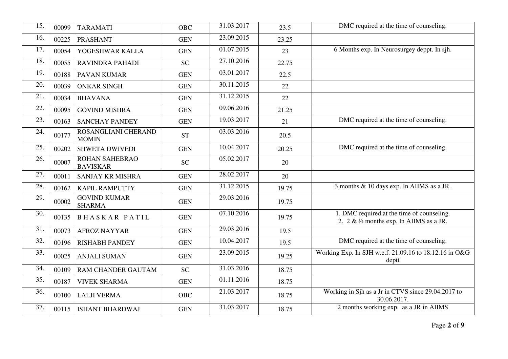| 15. | 00099 | <b>TARAMATI</b>                          | <b>OBC</b> | 31.03.2017 | 23.5  | DMC required at the time of counseling.                                                   |
|-----|-------|------------------------------------------|------------|------------|-------|-------------------------------------------------------------------------------------------|
| 16. | 00225 | <b>PRASHANT</b>                          | <b>GEN</b> | 23.09.2015 | 23.25 |                                                                                           |
| 17. | 00054 | YOGESHWAR KALLA                          | <b>GEN</b> | 01.07.2015 | 23    | 6 Months exp. In Neurosurgey deppt. In sjh.                                               |
| 18. | 00055 | <b>RAVINDRA PAHADI</b>                   | <b>SC</b>  | 27.10.2016 | 22.75 |                                                                                           |
| 19. | 00188 | <b>PAVAN KUMAR</b>                       | <b>GEN</b> | 03.01.2017 | 22.5  |                                                                                           |
| 20. | 00039 | <b>ONKAR SINGH</b>                       | <b>GEN</b> | 30.11.2015 | 22    |                                                                                           |
| 21. | 00034 | <b>BHAVANA</b>                           | <b>GEN</b> | 31.12.2015 | 22    |                                                                                           |
| 22. | 00095 | <b>GOVIND MISHRA</b>                     | <b>GEN</b> | 09.06.2016 | 21.25 |                                                                                           |
| 23. | 00163 | <b>SANCHAY PANDEY</b>                    | <b>GEN</b> | 19.03.2017 | 21    | DMC required at the time of counseling.                                                   |
| 24. | 00177 | ROSANGLIANI CHERAND<br><b>MOMIN</b>      | <b>ST</b>  | 03.03.2016 | 20.5  |                                                                                           |
| 25. | 00202 | <b>SHWETA DWIVEDI</b>                    | <b>GEN</b> | 10.04.2017 | 20.25 | DMC required at the time of counseling.                                                   |
| 26. | 00007 | <b>ROHAN SAHEBRAO</b><br><b>BAVISKAR</b> | <b>SC</b>  | 05.02.2017 | 20    |                                                                                           |
| 27. | 00011 | <b>SANJAY KR MISHRA</b>                  | <b>GEN</b> | 28.02.2017 | 20    |                                                                                           |
| 28. | 00162 | <b>KAPIL RAMPUTTY</b>                    | <b>GEN</b> | 31.12.2015 | 19.75 | 3 months & 10 days exp. In AIIMS as a JR.                                                 |
| 29. | 00002 | <b>GOVIND KUMAR</b><br><b>SHARMA</b>     | <b>GEN</b> | 29.03.2016 | 19.75 |                                                                                           |
| 30. | 00135 | <b>BHASKAR PATIL</b>                     | <b>GEN</b> | 07.10.2016 | 19.75 | 1. DMC required at the time of counseling.<br>2. $2 \& 1/2$ months exp. In AIIMS as a JR. |
| 31. | 00073 | <b>AFROZ NAYYAR</b>                      | <b>GEN</b> | 29.03.2016 | 19.5  |                                                                                           |
| 32. | 00196 | <b>RISHABH PANDEY</b>                    | <b>GEN</b> | 10.04.2017 | 19.5  | DMC required at the time of counseling.                                                   |
| 33. | 00025 | <b>ANJALI SUMAN</b>                      | <b>GEN</b> | 23.09.2015 | 19.25 | Working Exp. In SJH w.e.f. 21.09.16 to 18.12.16 in O&G<br>deptt                           |
| 34. | 00109 | RAM CHANDER GAUTAM                       | <b>SC</b>  | 31.03.2016 | 18.75 |                                                                                           |
| 35. | 00187 | <b>VIVEK SHARMA</b>                      | <b>GEN</b> | 01.11.2016 | 18.75 |                                                                                           |
| 36. | 00100 | <b>LALJI VERMA</b>                       | <b>OBC</b> | 21.03.2017 | 18.75 | Working in Sjh as a Jr in CTVS since 29.04.2017 to<br>30.06.2017.                         |
| 37. | 00115 | <b>ISHANT BHARDWAJ</b>                   | <b>GEN</b> | 31.03.2017 | 18.75 | 2 months working exp. as a JR in AIIMS                                                    |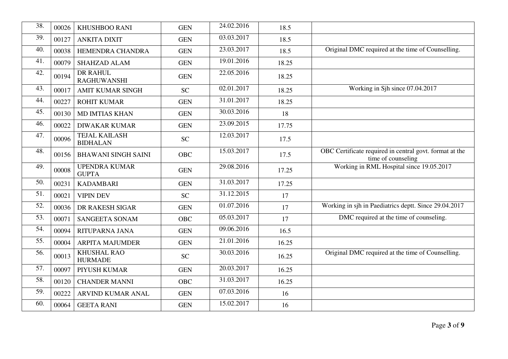| 38. | 00026 | <b>KHUSHBOO RANI</b>                    | <b>GEN</b> | 24.02.2016                | 18.5  |                                                                               |
|-----|-------|-----------------------------------------|------------|---------------------------|-------|-------------------------------------------------------------------------------|
| 39. | 00127 | <b>ANKITA DIXIT</b>                     | <b>GEN</b> | 03.03.2017                | 18.5  |                                                                               |
| 40. | 00038 | HEMENDRA CHANDRA                        | <b>GEN</b> | 23.03.2017                | 18.5  | Original DMC required at the time of Counselling.                             |
| 41. | 00079 | SHAHZAD ALAM                            | <b>GEN</b> | $\overline{19.01}$ , 2016 | 18.25 |                                                                               |
| 42. | 00194 | <b>DR RAHUL</b><br><b>RAGHUWANSHI</b>   | <b>GEN</b> | 22.05.2016                | 18.25 |                                                                               |
| 43. | 00017 | <b>AMIT KUMAR SINGH</b>                 | <b>SC</b>  | 02.01.2017                | 18.25 | Working in Sjh since 07.04.2017                                               |
| 44. | 00227 | <b>ROHIT KUMAR</b>                      | <b>GEN</b> | 31.01.2017                | 18.25 |                                                                               |
| 45. | 00130 | <b>MD IMTIAS KHAN</b>                   | <b>GEN</b> | 30.03.2016                | 18    |                                                                               |
| 46. | 00022 | <b>DIWAKAR KUMAR</b>                    | <b>GEN</b> | 23.09.2015                | 17.75 |                                                                               |
| 47. | 00096 | <b>TEJAL KAILASH</b><br><b>BIDHALAN</b> | <b>SC</b>  | 12.03.2017                | 17.5  |                                                                               |
| 48. | 00156 | <b>BHAWANI SINGH SAINI</b>              | <b>OBC</b> | 15.03.2017                | 17.5  | OBC Certificate required in central govt. format at the<br>time of counseling |
| 49. | 00008 | <b>UPENDRA KUMAR</b><br><b>GUPTA</b>    | <b>GEN</b> | 29.08.2016                | 17.25 | Working in RML Hospital since 19.05.2017                                      |
| 50. | 00231 | <b>KADAMBARI</b>                        | <b>GEN</b> | 31.03.2017                | 17.25 |                                                                               |
| 51. | 00021 | <b>VIPIN DEV</b>                        | <b>SC</b>  | 31.12.2015                | 17    |                                                                               |
| 52. | 00036 | DR RAKESH SIGAR                         | <b>GEN</b> | 01.07.2016                | 17    | Working in sjh in Paediatrics deptt. Since 29.04.2017                         |
| 53. | 00071 | <b>SANGEETA SONAM</b>                   | <b>OBC</b> | 05.03.2017                | 17    | DMC required at the time of counseling.                                       |
| 54. | 00094 | <b>RITUPARNA JANA</b>                   | <b>GEN</b> | 09.06.2016                | 16.5  |                                                                               |
| 55. | 00004 | <b>ARPITA MAJUMDER</b>                  | <b>GEN</b> | $\overline{21.01.2016}$   | 16.25 |                                                                               |
| 56. | 00013 | <b>KHUSHAL RAO</b><br><b>HURMADE</b>    | <b>SC</b>  | 30.03.2016                | 16.25 | Original DMC required at the time of Counselling.                             |
| 57. | 00097 | PIYUSH KUMAR                            | <b>GEN</b> | 20.03.2017                | 16.25 |                                                                               |
| 58. | 00120 | <b>CHANDER MANNI</b>                    | <b>OBC</b> | 31.03.2017                | 16.25 |                                                                               |
| 59. | 00222 | ARVIND KUMAR ANAL                       | <b>GEN</b> | 07.03.2016                | 16    |                                                                               |
| 60. | 00064 | <b>GEETA RANI</b>                       | <b>GEN</b> | 15.02.2017                | 16    |                                                                               |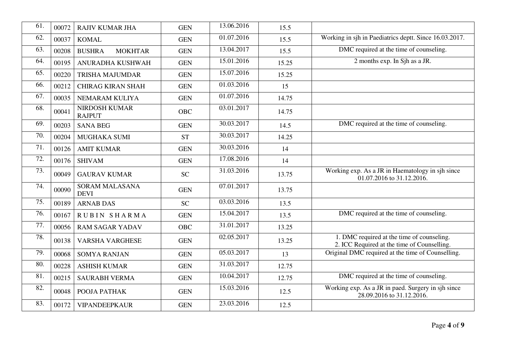| 61. | 00072 | <b>RAJIV KUMAR JHA</b>                | <b>GEN</b> | 13.06.2016               | 15.5  |                                                                                           |
|-----|-------|---------------------------------------|------------|--------------------------|-------|-------------------------------------------------------------------------------------------|
| 62. | 00037 | <b>KOMAL</b>                          | <b>GEN</b> | $\overline{01.07}$ .2016 | 15.5  | Working in sjh in Paediatrics deptt. Since 16.03.2017.                                    |
| 63. | 00208 | <b>BUSHRA</b><br><b>MOKHTAR</b>       | <b>GEN</b> | 13.04.2017               | 15.5  | DMC required at the time of counseling.                                                   |
| 64. | 00195 | ANURADHA KUSHWAH                      | <b>GEN</b> | 15.01.2016               | 15.25 | 2 months exp. In Sjh as a JR.                                                             |
| 65. | 00220 | <b>TRISHA MAJUMDAR</b>                | <b>GEN</b> | 15.07.2016               | 15.25 |                                                                                           |
| 66. | 00212 | <b>CHIRAG KIRAN SHAH</b>              | <b>GEN</b> | 01.03.2016               | 15    |                                                                                           |
| 67. | 00035 | NEMARAM KULIYA                        | <b>GEN</b> | 01.07.2016               | 14.75 |                                                                                           |
| 68. | 00041 | <b>NIRDOSH KUMAR</b><br><b>RAJPUT</b> | <b>OBC</b> | 03.01.2017               | 14.75 |                                                                                           |
| 69. | 00203 | <b>SANA BEG</b>                       | <b>GEN</b> | 30.03.2017               | 14.5  | DMC required at the time of counseling.                                                   |
| 70. | 00204 | MUGHAKA SUMI                          | <b>ST</b>  | 30.03.2017               | 14.25 |                                                                                           |
| 71. | 00126 | <b>AMIT KUMAR</b>                     | <b>GEN</b> | 30.03.2016               | 14    |                                                                                           |
| 72. | 00176 | <b>SHIVAM</b>                         | <b>GEN</b> | 17.08.2016               | 14    |                                                                                           |
| 73. | 00049 | <b>GAURAV KUMAR</b>                   | <b>SC</b>  | 31.03.2016               | 13.75 | Working exp. As a JR in Haematology in sjh since<br>01.07.2016 to 31.12.2016.             |
| 74. | 00090 | <b>SORAM MALASANA</b><br><b>DEVI</b>  | <b>GEN</b> | 07.01.2017               | 13.75 |                                                                                           |
| 75. | 00189 | <b>ARNAB DAS</b>                      | <b>SC</b>  | 03.03.2016               | 13.5  |                                                                                           |
| 76. | 00167 | <b>RUBIN SHARMA</b>                   | <b>GEN</b> | 15.04.2017               | 13.5  | DMC required at the time of counseling.                                                   |
| 77. | 00056 | <b>RAM SAGAR YADAV</b>                | <b>OBC</b> | 31.01.2017               | 13.25 |                                                                                           |
| 78. | 00138 | <b>VARSHA VARGHESE</b>                | <b>GEN</b> | 02.05.2017               | 13.25 | 1. DMC required at the time of counseling.<br>2. ICC Required at the time of Counselling. |
| 79. | 00068 | <b>SOMYA RANJAN</b>                   | <b>GEN</b> | 05.03.2017               | 13    | Original DMC required at the time of Counselling.                                         |
| 80. | 00228 | <b>ASHISH KUMAR</b>                   | <b>GEN</b> | 31.03.2017               | 12.75 |                                                                                           |
| 81. | 00215 | <b>SAURABH VERMA</b>                  | <b>GEN</b> | 10.04.2017               | 12.75 | DMC required at the time of counseling.                                                   |
| 82. | 00048 | POOJA PATHAK                          | <b>GEN</b> | 15.03.2016               | 12.5  | Working exp. As a JR in paed. Surgery in sjh since<br>28.09.2016 to 31.12.2016.           |
| 83. | 00172 | <b>VIPANDEEPKAUR</b>                  | <b>GEN</b> | 23.03.2016               | 12.5  |                                                                                           |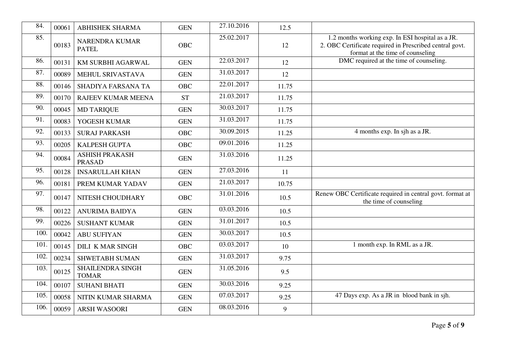| 84.  | 00061 | <b>ABHISHEK SHARMA</b>                  | <b>GEN</b> | 27.10.2016 | 12.5  |                                                                                                                                                 |
|------|-------|-----------------------------------------|------------|------------|-------|-------------------------------------------------------------------------------------------------------------------------------------------------|
| 85.  | 00183 | <b>NARENDRA KUMAR</b><br><b>PATEL</b>   | <b>OBC</b> | 25.02.2017 | 12    | 1.2 months working exp. In ESI hospital as a JR.<br>2. OBC Certificate required in Prescribed central govt.<br>format at the time of counseling |
| 86.  | 00131 | KM SURBHI AGARWAL                       | <b>GEN</b> | 22.03.2017 | 12    | DMC required at the time of counseling.                                                                                                         |
| 87.  | 00089 | MEHUL SRIVASTAVA                        | <b>GEN</b> | 31.03.2017 | 12    |                                                                                                                                                 |
| 88.  | 00146 | SHADIYA FARSANA TA                      | <b>OBC</b> | 22.01.2017 | 11.75 |                                                                                                                                                 |
| 89.  | 00170 | RAJEEV KUMAR MEENA                      | <b>ST</b>  | 21.03.2017 | 11.75 |                                                                                                                                                 |
| 90.  | 00045 | <b>MD TARIQUE</b>                       | <b>GEN</b> | 30.03.2017 | 11.75 |                                                                                                                                                 |
| 91.  | 00083 | YOGESH KUMAR                            | <b>GEN</b> | 31.03.2017 | 11.75 |                                                                                                                                                 |
| 92.  | 00133 | <b>SURAJ PARKASH</b>                    | <b>OBC</b> | 30.09.2015 | 11.25 | 4 months exp. In sjh as a JR.                                                                                                                   |
| 93.  | 00205 | KALPESH GUPTA                           | <b>OBC</b> | 09.01.2016 | 11.25 |                                                                                                                                                 |
| 94.  | 00084 | <b>ASHISH PRAKASH</b><br><b>PRASAD</b>  | <b>GEN</b> | 31.03.2016 | 11.25 |                                                                                                                                                 |
| 95.  | 00128 | <b>INSARULLAH KHAN</b>                  | <b>GEN</b> | 27.03.2016 | 11    |                                                                                                                                                 |
| 96.  | 00181 | PREM KUMAR YADAV                        | <b>GEN</b> | 21.03.2017 | 10.75 |                                                                                                                                                 |
| 97.  | 00147 | NITESH CHOUDHARY                        | <b>OBC</b> | 31.01.2016 | 10.5  | Renew OBC Certificate required in central govt. format at<br>the time of counseling                                                             |
| 98.  | 00122 | <b>ANURIMA BAIDYA</b>                   | <b>GEN</b> | 03.03.2016 | 10.5  |                                                                                                                                                 |
| 99.  | 00226 | <b>SUSHANT KUMAR</b>                    | <b>GEN</b> | 31.01.2017 | 10.5  |                                                                                                                                                 |
| 100. | 00042 | <b>ABU SUFIYAN</b>                      | <b>GEN</b> | 30.03.2017 | 10.5  |                                                                                                                                                 |
| 101. | 00145 | <b>DILI K MAR SINGH</b>                 | <b>OBC</b> | 03.03.2017 | 10    | 1 month exp. In RML as a JR.                                                                                                                    |
| 102. | 00234 | SHWETABH SUMAN                          | <b>GEN</b> | 31.03.2017 | 9.75  |                                                                                                                                                 |
| 103. | 00125 | <b>SHAILENDRA SINGH</b><br><b>TOMAR</b> | <b>GEN</b> | 31.05.2016 | 9.5   |                                                                                                                                                 |
| 104. | 00107 | <b>SUHANI BHATI</b>                     | <b>GEN</b> | 30.03.2016 | 9.25  |                                                                                                                                                 |
| 105. | 00058 | NITIN KUMAR SHARMA                      | <b>GEN</b> | 07.03.2017 | 9.25  | 47 Days exp. As a JR in blood bank in sjh.                                                                                                      |
| 106. | 00059 | <b>ARSH WASOORI</b>                     | <b>GEN</b> | 08.03.2016 | 9     |                                                                                                                                                 |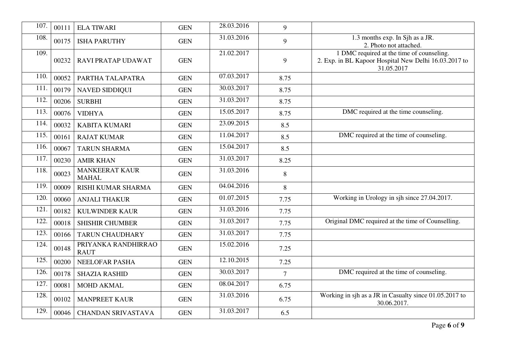| 107. | 00111 | <b>ELA TIWARI</b>                     | <b>GEN</b> | 28.03.2016 | 9              |                                                                                                                  |
|------|-------|---------------------------------------|------------|------------|----------------|------------------------------------------------------------------------------------------------------------------|
| 108. | 00175 | <b>ISHA PARUTHY</b>                   | <b>GEN</b> | 31.03.2016 | 9              | 1.3 months exp. In Sjh as a JR.<br>2. Photo not attached.                                                        |
| 109. | 00232 | RAVI PRATAP UDAWAT                    | <b>GEN</b> | 21.02.2017 | 9              | 1 DMC required at the time of counseling.<br>2. Exp. in BL Kapoor Hospital New Delhi 16.03.2017 to<br>31.05.2017 |
| 110. | 00052 | PARTHA TALAPATRA                      | <b>GEN</b> | 07.03.2017 | 8.75           |                                                                                                                  |
| 111. | 00179 | <b>NAVED SIDDIQUI</b>                 | <b>GEN</b> | 30.03.2017 | 8.75           |                                                                                                                  |
| 112. | 00206 | <b>SURBHI</b>                         | <b>GEN</b> | 31.03.2017 | 8.75           |                                                                                                                  |
| 113. | 00076 | <b>VIDHYA</b>                         | <b>GEN</b> | 15.05.2017 | 8.75           | DMC required at the time counseling.                                                                             |
| 114. | 00032 | <b>KABITA KUMARI</b>                  | <b>GEN</b> | 23.09.2015 | 8.5            |                                                                                                                  |
| 115. | 00161 | <b>RAJAT KUMAR</b>                    | <b>GEN</b> | 11.04.2017 | 8.5            | DMC required at the time of counseling.                                                                          |
| 116. | 00067 | <b>TARUN SHARMA</b>                   | <b>GEN</b> | 15.04.2017 | 8.5            |                                                                                                                  |
| 117. | 00230 | <b>AMIR KHAN</b>                      | <b>GEN</b> | 31.03.2017 | 8.25           |                                                                                                                  |
| 118. | 00023 | <b>MANKEERAT KAUR</b><br><b>MAHAL</b> | <b>GEN</b> | 31.03.2016 | 8              |                                                                                                                  |
| 119. | 00009 | <b>RISHI KUMAR SHARMA</b>             | <b>GEN</b> | 04.04.2016 | 8              |                                                                                                                  |
| 120. | 00060 | <b>ANJALI THAKUR</b>                  | <b>GEN</b> | 01.07.2015 | 7.75           | Working in Urology in sjh since 27.04.2017.                                                                      |
| 121  | 00182 | <b>KULWINDER KAUR</b>                 | <b>GEN</b> | 31.03.2016 | 7.75           |                                                                                                                  |
| 122  | 00018 | <b>SHISHIR CHUMBER</b>                | <b>GEN</b> | 31.03.2017 | 7.75           | Original DMC required at the time of Counselling.                                                                |
| 123. | 00166 | <b>TARUN CHAUDHARY</b>                | <b>GEN</b> | 31.03.2017 | 7.75           |                                                                                                                  |
| 124. | 00148 | PRIYANKA RANDHIRRAO<br><b>RAUT</b>    | <b>GEN</b> | 15.02.2016 | 7.25           |                                                                                                                  |
| 125. | 00200 | <b>NEELOFAR PASHA</b>                 | <b>GEN</b> | 12.10.2015 | 7.25           |                                                                                                                  |
| 126. | 00178 | <b>SHAZIA RASHID</b>                  | <b>GEN</b> | 30.03.2017 | $\overline{7}$ | DMC required at the time of counseling.                                                                          |
| 127. | 00081 | <b>MOHD AKMAL</b>                     | <b>GEN</b> | 08.04.2017 | 6.75           |                                                                                                                  |
| 128. | 00102 | <b>MANPREET KAUR</b>                  | <b>GEN</b> | 31.03.2016 | 6.75           | Working in sjh as a JR in Casualty since 01.05.2017 to<br>30.06.2017.                                            |
| 129. | 00046 | <b>CHANDAN SRIVASTAVA</b>             | <b>GEN</b> | 31.03.2017 | 6.5            |                                                                                                                  |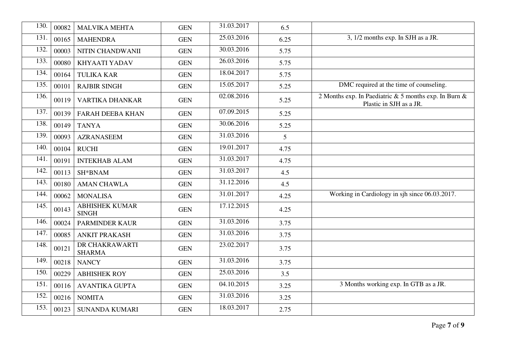| 130. | 00082 | <b>MALVIKA MEHTA</b>                  | <b>GEN</b> | 31.03.2017 | 6.5  |                                                                                  |
|------|-------|---------------------------------------|------------|------------|------|----------------------------------------------------------------------------------|
| 131. | 00165 | <b>MAHENDRA</b>                       | <b>GEN</b> | 25.03.2016 | 6.25 | 3, 1/2 months exp. In SJH as a JR.                                               |
| 132. | 00003 | NITIN CHANDWANII                      | <b>GEN</b> | 30.03.2016 | 5.75 |                                                                                  |
| 133. | 00080 | <b>KHYAATI YADAV</b>                  | <b>GEN</b> | 26.03.2016 | 5.75 |                                                                                  |
| 134. | 00164 | <b>TULIKA KAR</b>                     | <b>GEN</b> | 18.04.2017 | 5.75 |                                                                                  |
| 135. | 00101 | <b>RAJBIR SINGH</b>                   | <b>GEN</b> | 15.05.2017 | 5.25 | DMC required at the time of counseling.                                          |
| 136. | 00119 | VARTIKA DHANKAR                       | <b>GEN</b> | 02.08.2016 | 5.25 | 2 Months exp. In Paediatric & 5 months exp. In Burn &<br>Plastic in SJH as a JR. |
| 137. | 00139 | FARAH DEEBA KHAN                      | <b>GEN</b> | 07.09.2015 | 5.25 |                                                                                  |
| 138. | 00149 | <b>TANYA</b>                          | <b>GEN</b> | 30.06.2016 | 5.25 |                                                                                  |
| 139. | 00093 | <b>AZRANASEEM</b>                     | <b>GEN</b> | 31.03.2016 | 5    |                                                                                  |
| 140. | 00104 | <b>RUCHI</b>                          | <b>GEN</b> | 19.01.2017 | 4.75 |                                                                                  |
| 141  | 00191 | <b>INTEKHAB ALAM</b>                  | <b>GEN</b> | 31.03.2017 | 4.75 |                                                                                  |
| 142. | 00113 | SH*BNAM                               | <b>GEN</b> | 31.03.2017 | 4.5  |                                                                                  |
| 143. | 00180 | <b>AMAN CHAWLA</b>                    | <b>GEN</b> | 31.12.2016 | 4.5  |                                                                                  |
| 144. | 00062 | <b>MONALISA</b>                       | <b>GEN</b> | 31.01.2017 | 4.25 | Working in Cardiology in sjh since 06.03.2017.                                   |
| 145. | 00143 | <b>ABHISHEK KUMAR</b><br><b>SINGH</b> | <b>GEN</b> | 17.12.2015 | 4.25 |                                                                                  |
| 146. | 00024 | <b>PARMINDER KAUR</b>                 | <b>GEN</b> | 31.03.2016 | 3.75 |                                                                                  |
| 147. | 00085 | <b>ANKIT PRAKASH</b>                  | <b>GEN</b> | 31.03.2016 | 3.75 |                                                                                  |
| 148. | 00121 | DR CHAKRAWARTI<br><b>SHARMA</b>       | <b>GEN</b> | 23.02.2017 | 3.75 |                                                                                  |
| 149. | 00218 | <b>NANCY</b>                          | <b>GEN</b> | 31.03.2016 | 3.75 |                                                                                  |
| 150. | 00229 | <b>ABHISHEK ROY</b>                   | <b>GEN</b> | 25.03.2016 | 3.5  |                                                                                  |
| 151. | 00116 | <b>AVANTIKA GUPTA</b>                 | <b>GEN</b> | 04.10.2015 | 3.25 | 3 Months working exp. In GTB as a JR.                                            |
| 152. | 00216 | <b>NOMITA</b>                         | <b>GEN</b> | 31.03.2016 | 3.25 |                                                                                  |
| 153. | 00123 | <b>SUNANDA KUMARI</b>                 | <b>GEN</b> | 18.03.2017 | 2.75 |                                                                                  |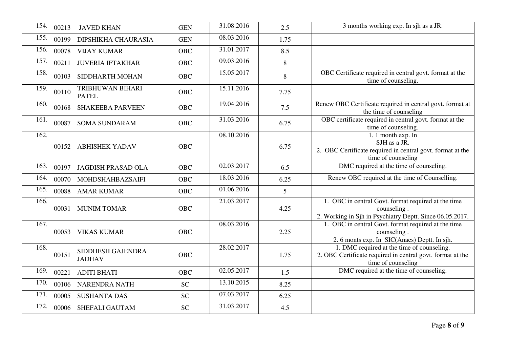| 154. | 00213 | <b>JAVED KHAN</b>                  | <b>GEN</b> | 31.08.2016 | 2.5  | 3 months working exp. In sjh as a JR.                                                                                          |
|------|-------|------------------------------------|------------|------------|------|--------------------------------------------------------------------------------------------------------------------------------|
| 155. | 00199 | DIPSHIKHA CHAURASIA                | <b>GEN</b> | 08.03.2016 | 1.75 |                                                                                                                                |
| 156. | 00078 | <b>VIJAY KUMAR</b>                 | <b>OBC</b> | 31.01.2017 | 8.5  |                                                                                                                                |
| 157. | 00211 | <b>JUVERIA IFTAKHAR</b>            | <b>OBC</b> | 09.03.2016 | 8    |                                                                                                                                |
| 158. | 00103 | SIDDHARTH MOHAN                    | <b>OBC</b> | 15.05.2017 | 8    | OBC Certificate required in central govt. format at the<br>time of counseling.                                                 |
| 159. | 00110 | TRIBHUWAN BIHARI<br><b>PATEL</b>   | <b>OBC</b> | 15.11.2016 | 7.75 |                                                                                                                                |
| 160. | 00168 | <b>SHAKEEBA PARVEEN</b>            | <b>OBC</b> | 19.04.2016 | 7.5  | Renew OBC Certificate required in central govt. format at<br>the time of counseling                                            |
| 161. | 00087 | <b>SOMA SUNDARAM</b>               | OBC        | 31.03.2016 | 6.75 | OBC certificate required in central govt. format at the<br>time of counseling.                                                 |
| 162. | 00152 | <b>ABHISHEK YADAV</b>              | <b>OBC</b> | 08.10.2016 | 6.75 | 1. 1 month exp. In<br>SJH as a JR.<br>2. OBC Certificate required in central govt. format at the<br>time of counseling         |
| 163. | 00197 | <b>JAGDISH PRASAD OLA</b>          | <b>OBC</b> | 02.03.2017 | 6.5  | DMC required at the time of counseling.                                                                                        |
| 164. | 00070 | MOHDSHAHBAZSAIFI                   | <b>OBC</b> | 18.03.2016 | 6.25 | Renew OBC required at the time of Counselling.                                                                                 |
| 165. | 00088 | <b>AMAR KUMAR</b>                  | <b>OBC</b> | 01.06.2016 | 5    |                                                                                                                                |
| 166. | 00031 | <b>MUNIM TOMAR</b>                 | <b>OBC</b> | 21.03.2017 | 4.25 | 1. OBC in central Govt. format required at the time<br>counseling.<br>2. Working in Sjh in Psychiatry Deptt. Since 06.05.2017. |
| 167. | 00053 | <b>VIKAS KUMAR</b>                 | <b>OBC</b> | 08.03.2016 | 2.25 | 1. OBC in central Govt. format required at the time<br>counseling.<br>2. 6 monts exp. In SIC(Anaes) Deptt. In sjh.             |
| 168. | 00151 | SIDDHESH GAJENDRA<br><b>JADHAV</b> | <b>OBC</b> | 28.02.2017 | 1.75 | 1. DMC required at the time of counseling.<br>2. OBC Certificate required in central govt. format at the<br>time of counseling |
| 169  | 00221 | <b>ADITI BHATI</b>                 | <b>OBC</b> | 02.05.2017 | 1.5  | DMC required at the time of counseling.                                                                                        |
| 170. | 00106 | NARENDRA NATH                      | <b>SC</b>  | 13.10.2015 | 8.25 |                                                                                                                                |
| 171. | 00005 | <b>SUSHANTA DAS</b>                | <b>SC</b>  | 07.03.2017 | 6.25 |                                                                                                                                |
| 172. | 00006 | SHEFALI GAUTAM                     | <b>SC</b>  | 31.03.2017 | 4.5  |                                                                                                                                |